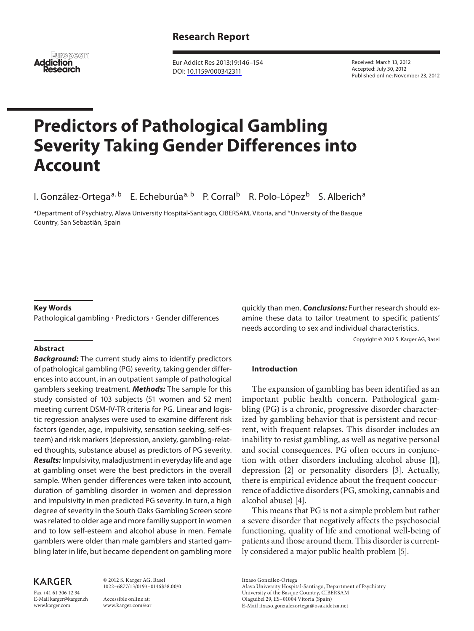**European Addiction Research**

 Eur Addict Res 2013;19:146–154 DOI: [10.1159/000342311](http://dx.doi.org/10.1159%2F000342311)

 Received: March 13, 2012 Accepted: July 30, 2012 Published online: November 23, 2012

# **Predictors of Pathological Gambling Severity Taking Gender Differences into Account**

I. González-Ortega<sup>a, b</sup> E. Echeburúa<sup>a, b</sup> P. Corral<sup>b</sup> R. Polo-López<sup>b</sup> S. Alberich<sup>a</sup>

a Department of Psychiatry, Alava University Hospital-Santiago, CIBERSAM, Vitoria, and <sup>b</sup>University of the Basque Country, San Sebastián, Spain

## **Key Words**

Pathological gambling · Predictors · Gender differences

# **Abstract**

*Background:* The current study aims to identify predictors of pathological gambling (PG) severity, taking gender differences into account, in an outpatient sample of pathological gamblers seeking treatment. *Methods:* The sample for this study consisted of 103 subjects (51 women and 52 men) meeting current DSM-IV-TR criteria for PG. Linear and logistic regression analyses were used to examine different risk factors (gender, age, impulsivity, sensation seeking, self-esteem) and risk markers (depression, anxiety, gambling-related thoughts, substance abuse) as predictors of PG severity. *Results:* Impulsivity, maladjustment in everyday life and age at gambling onset were the best predictors in the overall sample. When gender differences were taken into account, duration of gambling disorder in women and depression and impulsivity in men predicted PG severity. In turn, a high degree of severity in the South Oaks Gambling Screen score was related to older age and more familiy support in women and to low self-esteem and alcohol abuse in men. Female gamblers were older than male gamblers and started gambling later in life, but became dependent on gambling more

# **KARGER**

Fax +41 61 306 12 34 E-Mail karger@karger.ch www.karger.com

 © 2012 S. Karger AG, Basel 1022–6877/13/0193–0146\$38.00/0

 Accessible online at: www.karger.com/ear quickly than men. *Conclusions:* Further research should examine these data to tailor treatment to specific patients' needs according to sex and individual characteristics.

Copyright © 2012 S. Karger AG, Basel

# **Introduction**

 The expansion of gambling has been identified as an important public health concern. Pathological gambling (PG) is a chronic, progressive disorder characterized by gambling behavior that is persistent and recurrent, with frequent relapses. This disorder includes an inability to resist gambling, as well as negative personal and social consequences. PG often occurs in conjunction with other disorders including alcohol abuse [1], depression [2] or personality disorders [3]. Actually, there is empirical evidence about the frequent cooccurrence of addictive disorders (PG, smoking, cannabis and alcohol abuse) [4].

 This means that PG is not a simple problem but rather a severe disorder that negatively affects the psychosocial functioning, quality of life and emotional well-being of patients and those around them. This disorder is currently considered a major public health problem [5] .

 Itxaso González-Ortega Alava University Hospital-Santiago, Department of Psychiatry University of the Basque Country, CIBERSAM

Olaguibel 29, ES–01004 Vitoria (Spain)

E-Mail itxaso.gonzalezortega @ osakidetza.net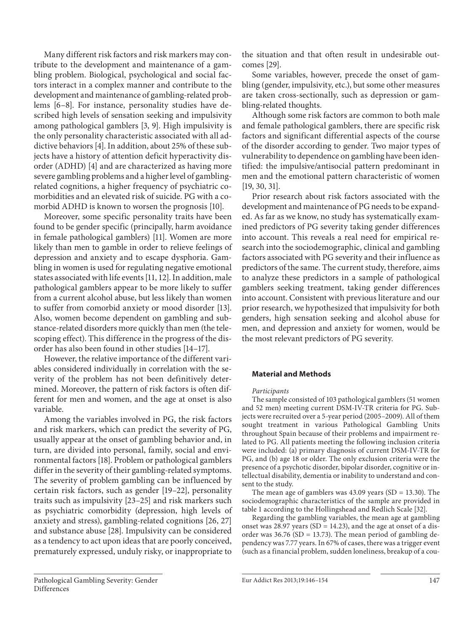Many different risk factors and risk markers may contribute to the development and maintenance of a gambling problem. Biological, psychological and social factors interact in a complex manner and contribute to the development and maintenance of gambling-related problems [6–8]. For instance, personality studies have described high levels of sensation seeking and impulsivity among pathological gamblers [3, 9]. High impulsivity is the only personality characteristic associated with all addictive behaviors [4]. In addition, about 25% of these subjects have a history of attention deficit hyperactivity disorder (ADHD) [4] and are characterized as having more severe gambling problems and a higher level of gamblingrelated cognitions, a higher frequency of psychiatric comorbidities and an elevated risk of suicide. PG with a comorbid ADHD is known to worsen the prognosis [10].

 Moreover, some specific personality traits have been found to be gender specific (principally, harm avoidance in female pathological gamblers) [11]. Women are more likely than men to gamble in order to relieve feelings of depression and anxiety and to escape dysphoria. Gambling in women is used for regulating negative emotional states associated with life events [11, 12] . In addition, male pathological gamblers appear to be more likely to suffer from a current alcohol abuse, but less likely than women to suffer from comorbid anxiety or mood disorder [13] . Also, women become dependent on gambling and substance-related disorders more quickly than men (the telescoping effect). This difference in the progress of the disorder has also been found in other studies [14–17] .

 However, the relative importance of the different variables considered individually in correlation with the severity of the problem has not been definitively determined. Moreover, the pattern of risk factors is often different for men and women, and the age at onset is also variable.

 Among the variables involved in PG, the risk factors and risk markers, which can predict the severity of PG, usually appear at the onset of gambling behavior and, in turn, are divided into personal, family, social and environmental factors [18] . Problem or pathological gamblers differ in the severity of their gambling-related symptoms. The severity of problem gambling can be influenced by certain risk factors, such as gender [19-22], personality traits such as impulsivity [23–25] and risk markers such as psychiatric comorbidity (depression, high levels of anxiety and stress), gambling-related cognitions [26, 27] and substance abuse [28]. Impulsivity can be considered as a tendency to act upon ideas that are poorly conceived, prematurely expressed, unduly risky, or inappropriate to

the situation and that often result in undesirable outcomes [29] .

 Some variables, however, precede the onset of gambling (gender, impulsivity, etc.), but some other measures are taken cross-sectionally, such as depression or gambling-related thoughts.

 Although some risk factors are common to both male and female pathological gamblers, there are specific risk factors and significant differential aspects of the course of the disorder according to gender. Two major types of vulnerability to dependence on gambling have been identified: the impulsive/antisocial pattern predominant in men and the emotional pattern characteristic of women  $[19, 30, 31]$ .

 Prior research about risk factors associated with the development and maintenance of PG needs to be expanded. As far as we know, no study has systematically examined predictors of PG severity taking gender differences into account. This reveals a real need for empirical research into the sociodemographic, clinical and gambling factors associated with PG severity and their influence as predictors of the same. The current study, therefore, aims to analyze these predictors in a sample of pathological gamblers seeking treatment, taking gender differences into account. Consistent with previous literature and our prior research, we hypothesized that impulsivity for both genders, high sensation seeking and alcohol abuse for men, and depression and anxiety for women, would be the most relevant predictors of PG severity.

# **Material and Methods**

#### *Participants*

 The sample consisted of 103 pathological gamblers (51 women and 52 men) meeting current DSM-IV-TR criteria for PG. Subjects were recruited over a 5-year period (2005–2009). All of them sought treatment in various Pathological Gambling Units throughout Spain because of their problems and impairment related to PG. All patients meeting the following inclusion criteria were included: (a) primary diagnosis of current DSM-IV-TR for PG, and (b) age 18 or older. The only exclusion criteria were the presence of a psychotic disorder, bipolar disorder, cognitive or intellectual disability, dementia or inability to understand and consent to the study.

The mean age of gamblers was  $43.09$  years (SD = 13.30). The sociodemographic characteristics of the sample are provided in table 1 according to the Hollingshead and Redlich Scale [32] .

 Regarding the gambling variables, the mean age at gambling onset was 28.97 years (SD = 14.23), and the age at onset of a disorder was  $36.76$  (SD = 13.73). The mean period of gambling dependency was 7.77 years. In 67% of cases, there was a trigger event (such as a financial problem, sudden loneliness, breakup of a cou-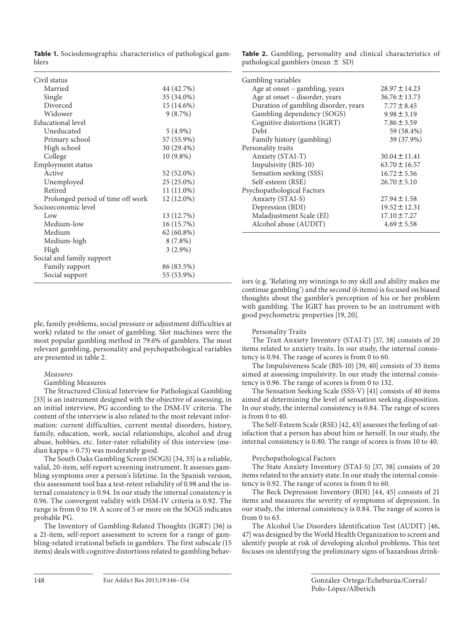|       | Table 1. Sociodemographic characteristics of pathological gam- |  |  |
|-------|----------------------------------------------------------------|--|--|
| blers |                                                                |  |  |

| Civil status                      |             |
|-----------------------------------|-------------|
| Married                           | 44 (42.7%)  |
| Single                            | 35 (34.0%)  |
| Divorced                          | 15 (14.6%)  |
| Widower                           | 9(8.7%)     |
| Educational level                 |             |
| Uneducated                        | $5(4.9\%)$  |
| Primary school                    | 57 (55.9%)  |
| High school                       | 30 (29.4%)  |
| College                           | $10(9.8\%)$ |
| Employment status                 |             |
| Active                            | 52 (52.0%)  |
| Unemployed                        | 25 (25.0%)  |
| Retired                           | 11 (11.0%)  |
| Prolonged period of time off work | 12 (12.0%)  |
| Socioeconomic level               |             |
| Low                               | 13 (12.7%)  |
| Medium-low                        | 16 (15.7%)  |
| Medium                            | 62 (60.8%)  |
| Medium-high                       | $8(7.8\%)$  |
| High                              | $3(2.9\%)$  |
| Social and family support         |             |
| Family support                    | 86 (83.5%)  |
| Social support                    | 55 (53.9%)  |

ple, family problems, social pressure or adjustment difficulties at work) related to the onset of gambling. Slot machines were the most popular gambling method in 79.6% of gamblers. The most relevant gambling, personality and psychopathological variables are presented in table 2.

#### *Measures*

#### Gambling Measures

 The Structured Clinical Interview for Pathological Gambling [33] is an instrument designed with the objective of assessing, in an initial interview, PG according to the DSM-IV criteria. The content of the interview is also related to the most relevant information: current difficulties, current mental disorders, history, family, education, work, social relationships, alcohol and drug abuse, hobbies, etc. Inter-rater reliability of this interview (median kappa =  $0.73$ ) was moderately good.

 The South Oaks Gambling Screen (SOGS) [34, 35] is a reliable, valid, 20-item, self-report screening instrument. It assesses gambling symptoms over a person's lifetime. In the Spanish version, this assessment tool has a test-retest reliability of 0.98 and the internal consistency is 0.94. In our study the internal consistency is 0.96. The convergent validity with DSM-IV criteria is 0.92. The range is from 0 to 19. A score of 5 or more on the SOGS indicates probable PG.

 The Inventory of Gambling-Related Thoughts (IGRT) [36] is a 21-item, self-report assessment to screen for a range of gambling-related irrational beliefs in gamblers. The first subscale (15 items) deals with cognitive distortions related to gambling behav-

|  |                                       |  | <b>Table 2.</b> Gambling, personality and clinical characteristics of |  |
|--|---------------------------------------|--|-----------------------------------------------------------------------|--|
|  | pathological gamblers (mean $\pm$ SD) |  |                                                                       |  |

| Gambling variables                   |                   |
|--------------------------------------|-------------------|
| Age at onset – gambling, years       | $28.97 \pm 14.23$ |
| Age at onset - disorder, years       | $36.76 \pm 13.73$ |
| Duration of gambling disorder, years | $7.77 \pm 8.45$   |
| Gambling dependency (SOGS)           | $9.98 \pm 3.19$   |
| Cognitive distortions (IGRT)         | $7.86 \pm 3.59$   |
| Debt                                 | 59 (58.4%)        |
| Family history (gambling)            | 39 (37.9%)        |
| Personality traits                   |                   |
| Anxiety (STAI-T)                     | $30.04 \pm 11.41$ |
| Impulsivity (BIS-10)                 | $63.70 \pm 16.57$ |
| Sensation seeking (SSS)              | $16.72 \pm 5.56$  |
| Self-esteem (RSE)                    | $26.70 \pm 5.10$  |
| Psychopathological Factors           |                   |
| Anxiety (STAI-S)                     | $27.94 \pm 1.58$  |
| Depression (BDI)                     | $19.52 \pm 12.31$ |
| Maladjustment Scale (EI)             | $17.10 \pm 7.27$  |
| Alcohol abuse (AUDIT)                | $4.69 \pm 5.58$   |
|                                      |                   |

iors (e.g. 'Relating my winnings to my skill and ability makes me continue gambling') and the second (6 items) is focused on biased thoughts about the gambler's perception of his or her problem with gambling. The IGRT has proven to be an instrument with good psychometric properties [19, 20] .

## Personality Traits

 The Trait Anxiety Inventory (STAI-T) [37, 38] consists of 20 items related to anxiety traits. In our study, the internal consistency is 0.94. The range of scores is from 0 to 60.

 The Impulsiveness Scale (BIS-10) [39, 40] consists of 33 items aimed at assessing impulsivity. In our study the internal consistency is 0.96. The range of scores is from 0 to 132.

 The Sensation Seeking Scale (SSS-V) [41] consists of 40 items aimed at determining the level of sensation seeking disposition. In our study, the internal consistency is 0.84. The range of scores is from 0 to 40.

 The Self-Esteem Scale (RSE) [42, 43] assesses the feeling of satisfaction that a person has about him or herself. In our study, the internal consistency is 0.80. The range of scores is from 10 to 40.

#### Psychopathological Factors

 The State Anxiety Inventory (STAI-S) [37, 38] consists of 20 items related to the anxiety state. In our study the internal consistency is 0.92. The range of scores is from 0 to 60.

 The Beck Depression Inventory (BDI) [44, 45] consists of 21 items and measures the severity of symptoms of depression. In our study, the internal consistency is 0.84. The range of scores is from 0 to 63.

 The Alcohol Use Disorders Identification Test (AUDIT) [46, 47] was designed by the World Health Organization to screen and identify people at risk of developing alcohol problems. This test focuses on identifying the preliminary signs of hazardous drink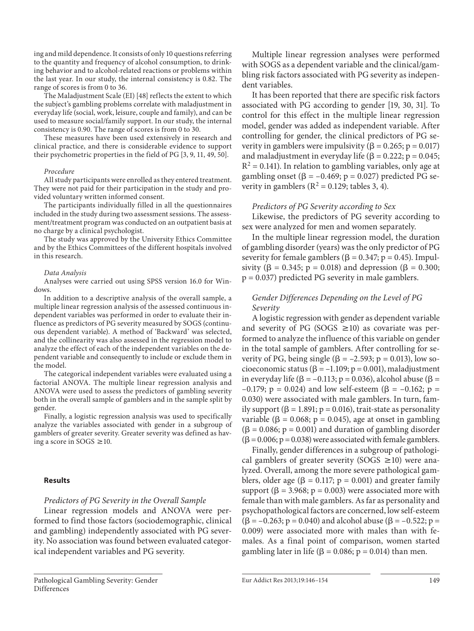ing and mild dependence. It consists of only 10 questions referring to the quantity and frequency of alcohol consumption, to drinking behavior and to alcohol-related reactions or problems within the last year. In our study, the internal consistency is 0.82. The range of scores is from 0 to 36.

 The Maladjustment Scale (EI) [48] reflects the extent to which the subject's gambling problems correlate with maladjustment in everyday life (social, work, leisure, couple and family), and can be used to measure social/family support. In our study, the internal consistency is 0.90. The range of scores is from 0 to 30.

 These measures have been used extensively in research and clinical practice, and there is considerable evidence to support their psychometric properties in the field of PG [3, 9, 11, 49, 50] .

## *Procedure*

 All study participants were enrolled as they entered treatment. They were not paid for their participation in the study and provided voluntary written informed consent.

 The participants individually filled in all the questionnaires included in the study during two assessment sessions. The assessment/treatment program was conducted on an outpatient basis at no charge by a clinical psychologist.

 The study was approved by the University Ethics Committee and by the Ethics Committees of the different hospitals involved in this research.

### *Data Analysis*

 Analyses were carried out using SPSS version 16.0 for Windows.

 In addition to a descriptive analysis of the overall sample, a multiple linear regression analysis of the assessed continuous independent variables was performed in order to evaluate their influence as predictors of PG severity measured by SOGS (continuous dependent variable). A method of 'Backward' was selected, and the collinearity was also assessed in the regression model to analyze the effect of each of the independent variables on the dependent variable and consequently to include or exclude them in the model.

 The categorical independent variables were evaluated using a factorial ANOVA. The multiple linear regression analysis and ANOVA were used to assess the predictors of gambling severity both in the overall sample of gamblers and in the sample split by gender.

 Finally, a logistic regression analysis was used to specifically analyze the variables associated with gender in a subgroup of gamblers of greater severity. Greater severity was defined as having a score in SOGS  $\geq 10$ .

## **Results**

# *Predictors of PG Severity in the Overall Sample*

 Linear regression models and ANOVA were performed to find those factors (sociodemographic, clinical and gambling) independently associated with PG severity. No association was found between evaluated categorical independent variables and PG severity.

 Multiple linear regression analyses were performed with SOGS as a dependent variable and the clinical/gambling risk factors associated with PG severity as independent variables.

 It has been reported that there are specific risk factors associated with PG according to gender [19, 30, 31]. To control for this effect in the multiple linear regression model, gender was added as independent variable. After controlling for gender, the clinical predictors of PG severity in gamblers were impulsivity ( $\beta = 0.265$ ;  $p = 0.017$ ) and maladjustment in everyday life ( $\beta = 0.222$ ;  $p = 0.045$ ;  $R^2$  = 0.141). In relation to gambling variables, only age at gambling onset ( $\beta$  = -0.469; p = 0.027) predicted PG severity in gamblers ( $R^2 = 0.129$ ; tables 3, 4).

## *Predictors of PG Severity according to Sex*

 Likewise, the predictors of PG severity according to sex were analyzed for men and women separately.

 In the multiple linear regression model, the duration of gambling disorder (years) was the only predictor of PG severity for female gamblers ( $\beta$  = 0.347; p = 0.45). Impulsivity ( $\beta = 0.345$ ;  $p = 0.018$ ) and depression ( $\beta = 0.300$ ; p = 0.037) predicted PG severity in male gamblers.

# *Gender Differences Depending on the Level of PG Severity*

 A logistic regression with gender as dependent variable and severity of PG (SOGS  $\geq 10$ ) as covariate was performed to analyze the influence of this variable on gender in the total sample of gamblers. After controlling for severity of PG, being single ( $\beta$  = -2.593; p = 0.013), low socioeconomic status ( $\beta = -1.109$ ;  $p = 0.001$ ), maladjustment in everyday life ( $\beta = -0.113$ ;  $p = 0.036$ ), alcohol abuse ( $\beta =$  $-0.179$ ; p = 0.024) and low self-esteem ( $\beta$  =  $-0.162$ ; p = 0.030) were associated with male gamblers. In turn, family support ( $\beta$  = 1.891; p = 0.016), trait-state as personality variable ( $\beta$  = 0.068; p = 0.045), age at onset in gambling  $(\beta = 0.086; p = 0.001)$  and duration of gambling disorder  $(\beta = 0.006; p = 0.038)$  were associated with female gamblers.

 Finally, gender differences in a subgroup of pathological gamblers of greater severity (SOGS  $\geq$ 10) were analyzed. Overall, among the more severe pathological gamblers, older age ( $\beta = 0.117$ ;  $p = 0.001$ ) and greater family support ( $\beta$  = 3.968; p = 0.003) were associated more with female than with male gamblers. As far as personality and psychopathological factors are concerned, low self-esteem  $(\beta = -0.263; p = 0.040)$  and alcohol abuse ( $\beta = -0.522; p =$ 0.009) were associated more with males than with females. As a final point of comparison, women started gambling later in life ( $\beta$  = 0.086; p = 0.014) than men.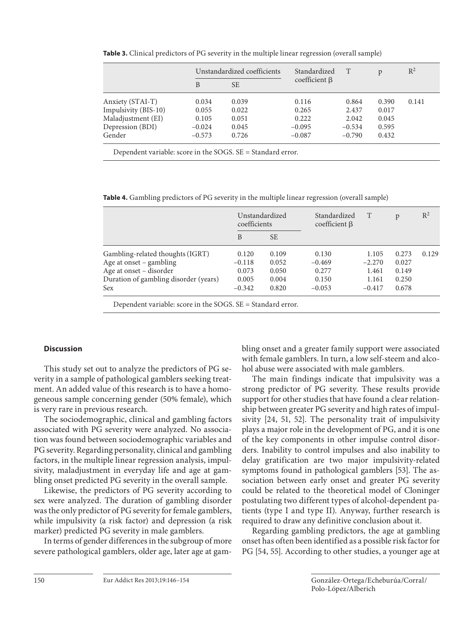|                      | Unstandardized coefficients |           | Standardized        | T        | p     | $R^2$ |
|----------------------|-----------------------------|-----------|---------------------|----------|-------|-------|
|                      | B                           | <b>SE</b> | $coefficient \beta$ |          |       |       |
| Anxiety (STAI-T)     | 0.034                       | 0.039     | 0.116               | 0.864    | 0.390 | 0.141 |
| Impulsivity (BIS-10) | 0.055                       | 0.022     | 0.265               | 2.437    | 0.017 |       |
| Maladjustment (EI)   | 0.105                       | 0.051     | 0.222               | 2.042    | 0.045 |       |
| Depression (BDI)     | $-0.024$                    | 0.045     | $-0.095$            | $-0.534$ | 0.595 |       |
| Gender               | $-0.573$                    | 0.726     | $-0.087$            | $-0.790$ | 0.432 |       |

**Table 3.** Clinical predictors of PG severity in the multiple linear regression (overall sample)

Dependent variable: score in the SOGS. SE = Standard error.

**Table 4.** Gambling predictors of PG severity in the multiple linear regression (overall sample)

|                                                             | Unstandardized<br>coefficients |           | Standardized<br>$coefficient \beta$ | T        | p     | $R^2$ |
|-------------------------------------------------------------|--------------------------------|-----------|-------------------------------------|----------|-------|-------|
|                                                             | B                              | <b>SE</b> |                                     |          |       |       |
| Gambling-related thoughts (IGRT)                            | 0.120                          | 0.109     | 0.130                               | 1.105    | 0.273 | 0.129 |
| Age at onset – gambling                                     | $-0.118$                       | 0.052     | $-0.469$                            | $-2.270$ | 0.027 |       |
| Age at onset - disorder                                     | 0.073                          | 0.050     | 0.277                               | 1.461    | 0.149 |       |
| Duration of gambling disorder (years)                       | 0.005                          | 0.004     | 0.150                               | 1.161    | 0.250 |       |
| <b>Sex</b>                                                  | $-0.342$                       | 0.820     | $-0.053$                            | $-0.417$ | 0.678 |       |
| Dependent variable: score in the SOGS. SE = Standard error. |                                |           |                                     |          |       |       |

# **Discussion**

 This study set out to analyze the predictors of PG severity in a sample of pathological gamblers seeking treatment. An added value of this research is to have a homogeneous sample concerning gender (50% female), which is very rare in previous research.

 The sociodemographic, clinical and gambling factors associated with PG severity were analyzed. No association was found between sociodemographic variables and PG severity. Regarding personality, clinical and gambling factors, in the multiple linear regression analysis, impulsivity, maladjustment in everyday life and age at gambling onset predicted PG severity in the overall sample.

 Likewise, the predictors of PG severity according to sex were analyzed. The duration of gambling disorder was the only predictor of PG severity for female gamblers, while impulsivity (a risk factor) and depression (a risk marker) predicted PG severity in male gamblers.

 In terms of gender differences in the subgroup of more severe pathological gamblers, older age, later age at gambling onset and a greater family support were associated with female gamblers. In turn, a low self-steem and alcohol abuse were associated with male gamblers.

 The main findings indicate that impulsivity was a strong predictor of PG severity. These results provide support for other studies that have found a clear relationship between greater PG severity and high rates of impulsivity [24, 51, 52]. The personality trait of impulsivity plays a major role in the development of PG, and it is one of the key components in other impulse control disorders. Inability to control impulses and also inability to delay gratification are two major impulsivity-related symptoms found in pathological gamblers [53]. The association between early onset and greater PG severity could be related to the theoretical model of Cloninger postulating two different types of alcohol-dependent patients (type I and type II). Anyway, further research is required to draw any definitive conclusion about it.

 Regarding gambling predictors, the age at gambling onset has often been identified as a possible risk factor for PG [54, 55] . According to other studies, a younger age at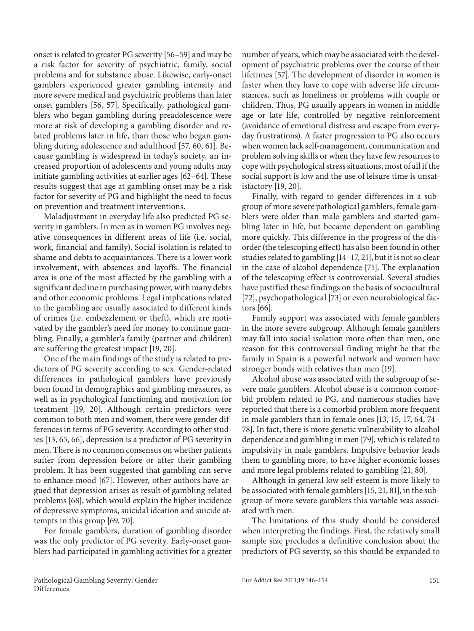onset is related to greater PG severity [56–59] and may be a risk factor for severity of psychiatric, family, social problems and for substance abuse. Likewise, early-onset gamblers experienced greater gambling intensity and more severe medical and psychiatric problems than later onset gamblers [56, 57]. Specifically, pathological gamblers who began gambling during preadolescence were more at risk of developing a gambling disorder and related problems later in life, than those who began gambling during adolescence and adulthood [57, 60, 61]. Because gambling is widespread in today's society, an increased proportion of adolescents and young adults may initiate gambling activities at earlier ages [62–64]. These results suggest that age at gambling onset may be a risk factor for severity of PG and highlight the need to focus on prevention and treatment interventions.

 Maladjustment in everyday life also predicted PG severity in gamblers. In men as in women PG involves negative consequences in different areas of life (i.e. social, work, financial and family). Social isolation is related to shame and debts to acquaintances. There is a lower work involvement, with absences and layoffs. The financial area is one of the most affected by the gambling with a significant decline in purchasing power, with many debts and other economic problems. Legal implications related to the gambling are usually associated to different kinds of crimes (i.e. embezzlement or theft), which are motivated by the gambler's need for money to continue gambling. Finally, a gambler's family (partner and children) are suffering the greatest impact [19, 20].

 One of the main findings of the study is related to predictors of PG severity according to sex. Gender-related differences in pathological gamblers have previously been found in demographics and gambling measures, as well as in psychological functioning and motivation for treatment [19, 20]. Although certain predictors were common to both men and women, there were gender differences in terms of PG severity. According to other studies [13, 65, 66], depression is a predictor of PG severity in men. There is no common consensus on whether patients suffer from depression before or after their gambling problem. It has been suggested that gambling can serve to enhance mood [67]. However, other authors have argued that depression arises as result of gambling-related problems [68], which would explain the higher incidence of depressive symptoms, suicidal ideation and suicide attempts in this group [69, 70].

 For female gamblers, duration of gambling disorder was the only predictor of PG severity. Early-onset gamblers had participated in gambling activities for a greater number of years, which may be associated with the development of psychiatric problems over the course of their lifetimes [57]. The development of disorder in women is faster when they have to cope with adverse life circumstances, such as loneliness or problems with couple or children. Thus, PG usually appears in women in middle age or late life, controlled by negative reinforcement (avoidance of emotional distress and escape from everyday frustrations). A faster progression to PG also occurs when women lack self-management, communication and problem solving skills or when they have few resources to cope with psychological stress situations, most of all if the social support is low and the use of leisure time is unsatisfactory [19, 20].

 Finally, with regard to gender differences in a subgroup of more severe pathological gamblers, female gamblers were older than male gamblers and started gambling later in life, but became dependent on gambling more quickly. This difference in the progress of the disorder (the telescoping effect) has also been found in other studies related to gambling [14–17, 21] , but it is not so clear in the case of alcohol dependence [71]. The explanation of the telescoping effect is controversial. Several studies have justified these findings on the basis of sociocultural [72], psychopathological [73] or even neurobiological factors [66].

 Family support was associated with female gamblers in the more severe subgroup. Although female gamblers may fall into social isolation more often than men, one reason for this controversial finding might be that the family in Spain is a powerful network and women have stronger bonds with relatives than men [19].

 Alcohol abuse was associated with the subgroup of severe male gamblers. Alcohol abuse is a common comorbid problem related to PG, and numerous studies have reported that there is a comorbid problem more frequent in male gamblers than in female ones [13, 15, 17, 64, 74– 78]. In fact, there is more genetic vulnerability to alcohol dependence and gambling in men [79], which is related to impulsivity in male gamblers. Impulsive behavior leads them to gambling more, to have higher economic losses and more legal problems related to gambling [21, 80].

 Although in general low self-esteem is more likely to be associated with female gamblers [15, 21, 81], in the subgroup of more severe gamblers this variable was associated with men.

 The limitations of this study should be considered when interpreting the findings. First, the relatively small sample size precludes a definitive conclusion about the predictors of PG severity, so this should be expanded to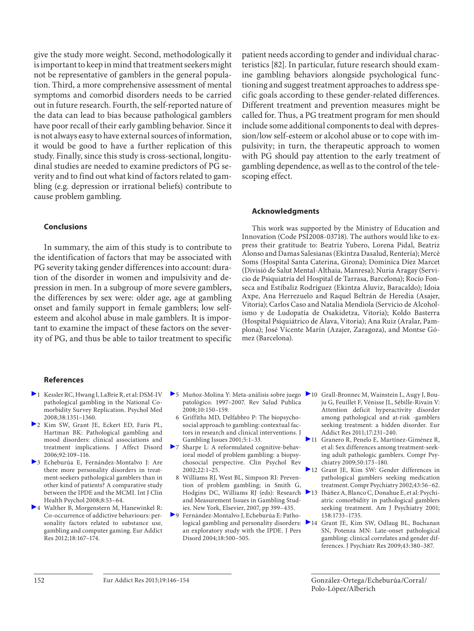give the study more weight. Second, methodologically it is important to keep in mind that treatment seekers might not be representative of gamblers in the general population. Third, a more comprehensive assessment of mental symptoms and comorbid disorders needs to be carried out in future research. Fourth, the self-reported nature of the data can lead to bias because pathological gamblers have poor recall of their early gambling behavior. Since it is not always easy to have external sources of information, it would be good to have a further replication of this study. Finally, since this study is cross-sectional, longitudinal studies are needed to examine predictors of PG severity and to find out what kind of factors related to gambling (e.g. depression or irrational beliefs) contribute to cause problem gambling.

## **Conclusions**

 In summary, the aim of this study is to contribute to the identification of factors that may be associated with PG severity taking gender differences into account: duration of the disorder in women and impulsivity and depression in men. In a subgroup of more severe gamblers, the differences by sex were: older age, age at gambling onset and family support in female gamblers; low selfesteem and alcohol abuse in male gamblers. It is important to examine the impact of these factors on the severity of PG, and thus be able to tailor treatment to specific

patient needs according to gender and individual characteristics [82]. In particular, future research should examine gambling behaviors alongside psychological functioning and suggest treatment approaches to address specific goals according to these gender-related differences. Different treatment and prevention measures might be called for. Thus, a PG treatment program for men should include some additional components to deal with depression/low self-esteem or alcohol abuse or to cope with impulsivity; in turn, the therapeutic approach to women with PG should pay attention to the early treatment of gambling dependence, as well as to the control of the telescoping effect.

#### **Acknowledgments**

 This work was supported by the Ministry of Education and Innovation (Code PSI2008-03718). The authors would like to express their gratitude to: Beatriz Yubero, Lorena Pidal, Beatriz Alonso and Damas Salesianas (Ekintza Dasalud, Rentería); Mercè Soms (Hospital Santa Caterina, Girona); Dominica Díez Marcet (Divisió de Salut Mental-Althaia, Manresa); Nuria Aragay (Servicio de Psiquiatría del Hospital de Tarrasa, Barcelona); Rocío Fonseca and Estíbaliz Rodríguez (Ekintza Aluviz, Baracaldo); Idoia Axpe, Ana Herrezuelo and Raquel Beltrán de Heredia (Asajer, Vitoria); Carlos Caso and Natalia Mendiola (Servicio de Alcoholismo y de Ludopatía de Osakidetza, Vitoria); Koldo Basterra (Hospital Psiquiátrico de Álava, Vitoria); Ana Ruiz (Aralar, Pamplona); José Vicente Marín (Azajer, Zaragoza), and Montse Gómez (Barcelona).

#### **References**

- 1 Kessler RC, Hwang I, LaBrie R, et al: DSM-IV pathological gambling in the National Comorbidity Survey Replication. Psychol Med 2008;38:1351–1360.
- 2 Kim SW, Grant JE, Eckert ED, Faris PL, Hartman BK: Pathological gambling and mood disorders: clinical associations and treatment implications. J Affect Disord 2006;92:109–116.
- 3 Echeburúa E, Fernández-Montalvo J: Are there more personality disorders in treatment-seekers pathological gamblers than in other kind of patients? A comparative study between the IPDE and the MCMI. Int J Clin Health Psychol 2008;8:53–64.
- 4 Walther B, Morgenstern M, Hanewinkel R: Co-occurrence of addictive behaviours: personality factors related to substance use, gambling and computer gaming. Eur Addict Res 2012;18:167–174.
- 5 Muñoz-Molina Y: Meta-análisis sobre juego 10 Grall-Bronnec M, Wainstein L, Augy J, Boupatológico. 1997–2007. Rev Salud Publica 2008;10:150–159.
- 6 Griffiths MD, Delfabbro P: The biopsychosocial approach to gambling: contextual factors in research and clinical interventions. J Gambling Issues 2001;5:1–33.
- 7 Sharpe L: A reformulated cognitive-behavioral model of problem gambling: a biopsychosocial perspective. Clin Psychol Rev 2002;22:1–25.
	- 8 Williams RJ, West BL, Simpson RI: Prevention of problem gambling; in Smith G, Hodgins DC, Williams RJ (eds): Research 213 and Measurement Issues in Gambling Studies. New York, Elsevier, 2007, pp 399–435.
- 9 Fernández-Montalvo J, Echeburúa E: Pathological gambling and personality disorders:  $\blacktriangleright$  14 an exploratory study with the IPDE. J Pers Disord 2004;18:500–505.
- ju G, Feuillet F, Vénisse JL, Sébille-Rivain V: Attention deficit hyperactivity disorder among pathological and at-risk -gamblers seeking treatment: a hidden disorder. Eur Addict Res 2011;17:231–240.
- 11 Granero R, Penelo E, Martínez-Giménez R, et al: Sex differences among treatment-seeking adult pathologic gamblers. Compr Psychiatry 2009;50:173–180.
- 12 Grant JE, Kim SW: Gender differences in pathological gamblers seeking medication treatment. Compr Psychiatry 2002;43:56–62.
	- 13 Ibáñez A, Blanco C, Donahue E, et al: Psychiatric comorbidity in pathological gamblers seeking treatment. Am J Psychiatry 2001; 158:1733–1735.
- 14 Grant JE, Kim SW, Odlaug BL, Buchanan SN, Potenza MN: Late-onset pathological gambling: clinical correlates and gender differences. J Psychiatr Res 2009;43:380–387.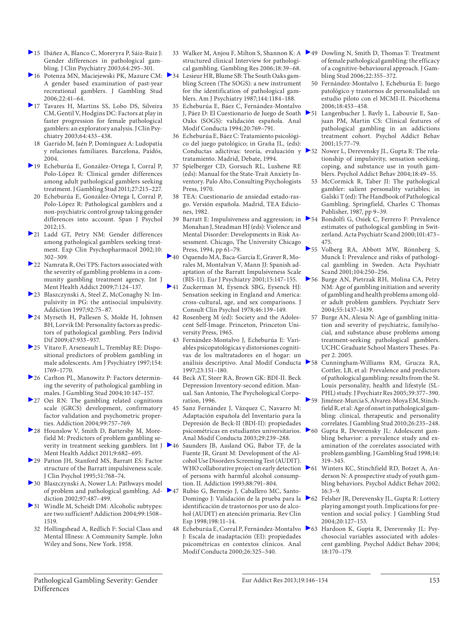- 15 Ibáñez A, Blanco C, Moreryra P, Sáiz-Ruiz J: Gender differences in pathological gambling. J Clin Psychiatry 2003;64:295–301.
- ▶ 16 Potenza MN, Maciejewski PK, Mazure CM: ▶ 34 A gender based examination of past-year recreational gamblers. J Gambling Stud 2006;22:41–64.
- 17 Tavares H, Martins SS, Lobo DS, Silveira CM, Gentil V, Hodgins DC: Factors at play in faster progression for female pathological gamblers: an exploratory analysis. J Clin Psychiatry 2003;64:433–438.
- 18 Garrido M, Jaén P, Domínguez A: Ludopatía y relaciones familiares. Barcelona, Paidós, 2004.
- 19 Echeburúa E, González-Ortega I, Corral P, Polo-López R: Clinical gender differences among adult pathological gamblers seeking treatment. J Gambling Stud 2011;27:215–227.
- 20 Echeburúa E, González-Ortega I, Corral P, Polo-López R: Pathological gamblers and a non-psychiatric control group taking gender differences into account. Span J Psychol 2012;15.
- 21 Ladd GT, Petry NM: Gender differences among pathological gamblers seeking treatment. Exp Clin Psychopharmacol 2002;10: 302–309.
- 22 Namrata R, Oei TPS: Factors associated with the severity of gambling problems in a community gambling treatment agency. Int J Ment Health Addict 2009;7:124–137.
- 23 Blaszczynski A, Steel Z, McConaghy N: Impulsivity in PG: the antisocial impulsivity. Addiction 1997;92:75–87.
- 24 Myrseth H, Pallesen S, Molde H, Johnsen BH, Lorvik IM: Personality factors as predictors of pathological gambling. Pers Individ Dif 2009;47:933–937.
- 25 Vitaro F, Arseneault L, Tremblay RE: Dispositional predictors of problem gambling in male adolescents. Am J Psychiatry 1997;154: 1769–1770.
- 26 Carlton PL, Manowitz P: Factors determining the severity of pathological gambling in males. J Gambling Stud 2004;10:147–157.
- 27 Oei RN: The gambling related cognitions scale (GRCS) development, confirmatory factor validation and psychometric properties. Addiction 2004;99:757–769.
- 28 Hounslow V, Smith D, Battersby M, Morefield M: Predictors of problem gambling severity in treatment seeking gamblers. Int J Ment Health Addict 2011;9:682–695.
- 29 Patton JH, Stanford MS, Barratt ES: Factor structure of the Barratt impulsiveness scale. J Clin Psychol 1995;51:768–74.
- 30 Blaszczynski A, Nower LA: Pathways model of problem and pathological gambling. Addiction 2002;97:487–499.
- 31 Windle M, Scheidt DM: Alcoholic subtypes: are two sufficient? Addiction 2004;99:1508– 1519.
	- 32 Hollingshead A, Redlich F: Social Class and Mental Illness: A Community Sample. John Wiley and Sons, New York. 1958.
- structured clinical Interview for pathological gambling. Gambling Res 2006;18:39–68.
- Lesieur HR, Blume SB: The South Oaks gambling Screen (The SOGS): a new instrument for the identification of pathological gamblers. Am J Psychiatry 1987;144:1184–188.
- 35 Echeburúa E, Báez C, Fernández-Montalvo Oaks (SOGS): validación española. Anal Modif Conducta 1994;20:769–791.
- 36 Echeburúa E, Báez C: Tratamiento psicológico del juego patológico; in Graña JL, (eds): Conductas adictivas: teoría, evaluación y tratamiento. Madrid, Debate, 1994.
- 37 Spielberger CD, Gorsuch RL, Lushene RE (eds): Manual for the State-Trait Anxiety Inventory. Palo Alto, Consulting Psychologists Press, 1970.
- 38 TEA: Cuestionario de ansiedad estado-rasgo. Versión española. Madrid, TEA Ediciones, 1982.
- 39 Barratt E: Impulsiveness and aggression; in > 54 Monahan J, Steadman HJ (eds): Violence and Mental Disorder: Developments in Risk Assessment. Chicago, The University Chicago Press, 1994, pp 61–79.
- 40 Oquendo MA, Baca-García E, Graver R, Morales M, Montalvan V, Mann JJ: Spanish adaptation of the Barratt Impulsiveness Scale (BIS-11). Eur J Psychiatry 2001;15:147–155.
- 41 Zuckerman M, Eysenck SBG, Eysenck HJ: Sensation seeking in England and America: cross-cultural, age, and sex comparisons. J Consult Clin Psychol 1978;46:139–149.
	- 42 Rosenberg M (ed): Society and the Adolescent Self-Image. Princeton, Princeton University Press, 1965.
	- 43 Fernández-Montalvo J, Echeburúa E: Variables psicopatológicas y distorsiones cognitivas de los maltratadores en el hogar: un análisis descriptivo. Anal Modif Conducta > 58 1997;23:151–180.
	- 44 Beck AT, Steer RA, Brown GK: BDI-II. Beck Depression Inventory-second edition. Manual. San Antonio, The Psychological Corporation, 1996.
- 45 Sanz Fernández J, Vázquez C, Navarro M: Adaptación española del Inventario para la Depresión de Beck-II (BDI-II): propiedades psicométricas en estudiantes universitarios. Anal Modif Conducta 2003;29:239–288.
- 46 Saunders JB, Aasland OG, Babor TF, de la Fuente JR, Grant M: Development of the Alcohol Use Disorders Screening Test (AUDIT). WHO collaborative project on early detection  $\triangleright$  61 of persons with harmful alcohol consumption. II. Addiction 1993;88:791–804.
- Rubio G, Bermejo J, Caballero MC, Santo-Domingo J: Validación de la prueba para la identificación de trastornos por uso de alcohol (AUDIT) en atención primaria. Rev Clin Esp 1998;198:11–14.
- 48 Echeburúa E, Corral P, Fernández-Montalvo 63 J: Escala de inadaptación (EI): propiedades psicométricas en contextos clínicos. Anal Modif Conducta 2000;26:325–340.
- 33 Walker M, Anjou F, Milton S, Shannon K: A 49 Dowling N, Smith D, Thomas T: Treatment of female pathological gambling: the efficacy of a cognitive-behavioural approach. J Gambling Stud 2006;22:355–372.
	- 50 Fernández-Montalvo J, Echeburúa E: Juego patológico y trastornos de personalidad: un estudio piloto con el MCMI-II. Psicothema 2006;18:453–458.
	- J, Páez D: El Cuestionario de Juego de Soath 51 Langenbucher J, Bavly L, Labouvie E, Sanjuan PM, Martin CS: Clinical features of pathological gambling in an addictions treatment cohort. Psychol Addict Behav 2001;15:77–79.
		- 52 Nower L, Derevensky JL, Gupta R: The relationship of impulsivity, sensation seeking, coping, and substance use in youth gamblers. Psychol Addict Behav 2004;18:49–55.
			- 53 McCormick R, Taber JI: The pathological gambler: salient personality variables; in Galski T (ed): The Handbook of Pathological Gambling. Springfield, Charles C Thomas Publisher, 1987, pp 9–39.
		- 54 Bondolfi G, Osiek C, Ferrero F: Prevalence estimates of pathological gambling in Switzerland. Acta Psychiatr Scand 2000;101:473– 475.
		- 55 Volberg RA, Abbott MW, Rönnberg S, Munck I: Prevalence and risks of pathological gambling in Sweden. Acta Psychiatr Scand 2001;104:250–256.
		- 56 Burge AN, Pietrzak RH, Molina CA, Petry NM: Age of gambling initiation and severity of gambling and health problems among older adult problem gamblers. Psychiatr Serv 2004;55:1437–1439.
			- 57 Burge AN, Alesia N: Age of gambling initiation and severity of psychiatric, family/social, and substance abuse problems among treatment-seeking pathological gamblers. UCHC Graduate School Masters Theses. Paper 2. 2005.
			- 58 Cunningham-Williams RM, Grucza RA, Cottler, LB, et al: Prevalence and predictors of pathological gambling: results from the St. Louis personality, health and lifestyle (SL-PHL) study. J Psychiatr Res 2005;39:377–390.
		- 59 Jiménez-Murcia S, Alvarez-Moya EM, Stinchfield R, et al: Age of onset in pathological gambling: clinical, therapeutic and personality correlates. J Gambling Stud 2010;26:235–248.
			- Gupta R, Deverensky JL: Adolescent gambling behavior: a prevalence study and examination of the correlates associated with problem gambling. J Gambling Stud 1998;14: 319–345.
			- 61 Winters KC, Stinchfield RD, Botzet A, Anderson N: A prospective study of youth gambling behaviors. Psychol Addict Behav 2002; 16:3–9.
			- 62 Felsher JR, Derevensky JL, Gupta R: Lottery playing amongst youth. Implications for prevention and social policy. J Gambling Stud 2004;20:127–153.
			- Hardoon K, Gupta R, Derevensky JL: Psychosocial variables associated with adolescent gambling. Psychol Addict Behav 2004; 18:170–179.